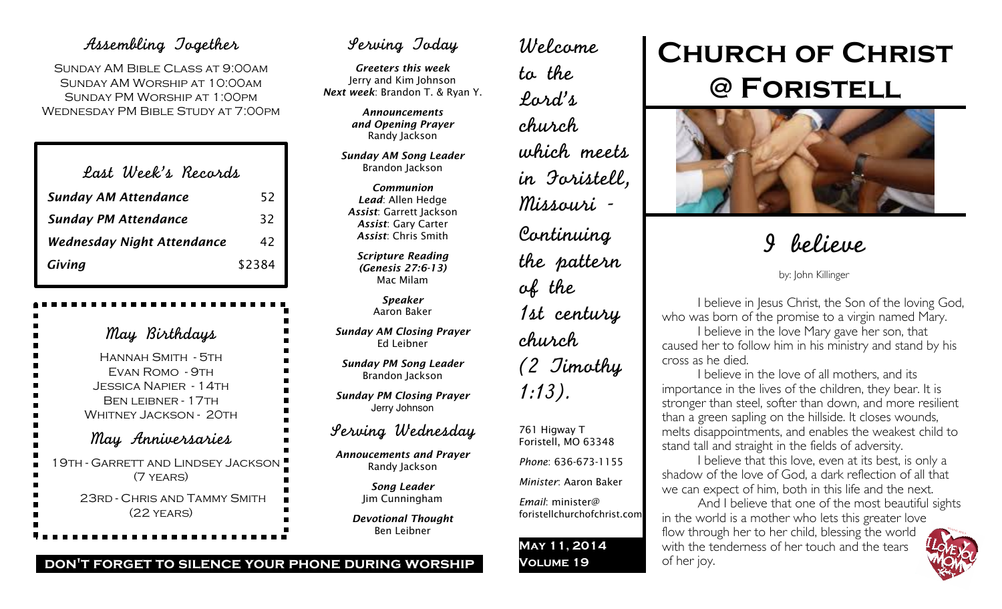# Assembling Together

Sunday AM Bible Class at 9:00am Sunday AM Worship at 10:00am Sunday PM Worship at 1:00pm Wednesday PM Bible Study at 7:00pm

| Last Week's Records               |        |
|-----------------------------------|--------|
| <b>Sunday AM Attendance</b>       | 52     |
| <b>Sunday PM Attendance</b>       | 32     |
| <b>Wednesday Night Attendance</b> | 42     |
| Giving                            | \$2384 |

May Birthdays Hannah Smith - 5th Evan Romo - 9th Jessica Napier - 14th BEN LEIBNER - 17TH WHITNEY JACKSON - 20TH May Anniversaries 19th - Garrett and Lindsey Jackson (7 years) 23rd - Chris and Tammy Smith (22 years)

# Serving Today

*Greeters this week* Jerry and Kim Johnson *Next week*: Brandon T. & Ryan Y.

> *Announcements and Opening Prayer* Randy Jackson

*Sunday AM Song Leader* Brandon Jackson

*Communion Lead*: Allen Hedge *Assist*: Garrett Jackson *Assist*: Gary Carter *Assist*: Chris Smith

*Scripture Reading (Genesis 27:6-13)* Mac Milam

> *Speaker* Aaron Baker

*Sunday AM Closing Prayer* Ed Leibner

*Sunday PM Song Leader* Brandon Jackson

*Sunday PM Closing Prayer* Jerry Johnson

# Serving Wednesday

*Annoucements and Prayer* Randy Jackson

> *Song Leader* Jim Cunningham

*Devotional Thought* Ben Leibner

# Welcome to the Lord's church which meets in Foristell, Missouri - Continuing the pattern of the 1st century church (2 Timothy 1:13).

761 Higway T Foristell, MO 63348

*Phone*: 636-673-1155

*Minister*: Aaron Baker *Email*: minister@

foristellchurchofchrist.com

**May 11, 2014 Volume 19**

# **Church of Christ @ Foristell**



# I believe

by: John Killinger

I believe in Jesus Christ, the Son of the loving God, who was born of the promise to a virgin named Mary.

I believe in the love Mary gave her son, that caused her to follow him in his ministry and stand by his cross as he died.

I believe in the love of all mothers, and its importance in the lives of the children, they bear. It is stronger than steel, softer than down, and more resilient than a green sapling on the hillside. It closes wounds, melts disappointments, and enables the weakest child to stand tall and straight in the fields of adversity.

I believe that this love, even at its best, is only a shadow of the love of God, a dark reflection of all that we can expect of him, both in this life and the next.

And I believe that one of the most beautiful sights in the world is a mother who lets this greater love flow through her to her child, blessing the world with the tenderness of her touch and the tears of her joy.



# **don't forget to silence your phone during worship**